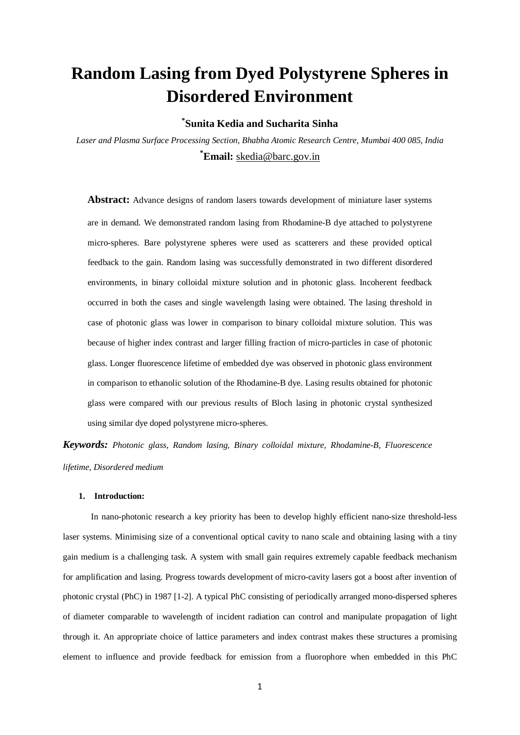# **Random Lasing from Dyed Polystyrene Spheres in Disordered Environment**

**\* Sunita Kedia and Sucharita Sinha**

*Laser and Plasma Surface Processing Section, Bhabha Atomic Research Centre, Mumbai 400 085, India* **\* Email:** [skedia@barc.gov.in](mailto:skedia@barc.gov.in)

**Abstract:** Advance designs of random lasers towards development of miniature laser systems are in demand. We demonstrated random lasing from Rhodamine-B dye attached to polystyrene micro-spheres. Bare polystyrene spheres were used as scatterers and these provided optical feedback to the gain. Random lasing was successfully demonstrated in two different disordered environments, in binary colloidal mixture solution and in photonic glass. Incoherent feedback occurred in both the cases and single wavelength lasing were obtained. The lasing threshold in case of photonic glass was lower in comparison to binary colloidal mixture solution. This was because of higher index contrast and larger filling fraction of micro-particles in case of photonic glass. Longer fluorescence lifetime of embedded dye was observed in photonic glass environment in comparison to ethanolic solution of the Rhodamine-B dye. Lasing results obtained for photonic glass were compared with our previous results of Bloch lasing in photonic crystal synthesized using similar dye doped polystyrene micro-spheres.

*Keywords: Photonic glass, Random lasing, Binary colloidal mixture, Rhodamine-B, Fluorescence lifetime, Disordered medium* 

#### **1. Introduction:**

 In nano-photonic research a key priority has been to develop highly efficient nano-size threshold-less laser systems. Minimising size of a conventional optical cavity to nano scale and obtaining lasing with a tiny gain medium is a challenging task. A system with small gain requires extremely capable feedback mechanism for amplification and lasing. Progress towards development of micro-cavity lasers got a boost after invention of photonic crystal (PhC) in 1987 [1-2]. A typical PhC consisting of periodically arranged mono-dispersed spheres of diameter comparable to wavelength of incident radiation can control and manipulate propagation of light through it. An appropriate choice of lattice parameters and index contrast makes these structures a promising element to influence and provide feedback for emission from a fluorophore when embedded in this PhC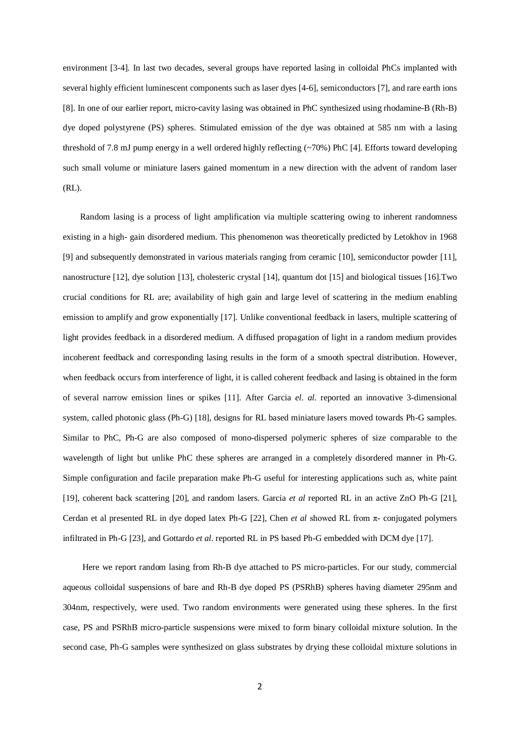environment [3-4]. In last two decades, several groups have reported lasing in colloidal PhCs implanted with several highly efficient luminescent components such as laser dyes [4-6], semiconductors [7], and rare earth ions [8]. In one of our earlier report, micro-cavity lasing was obtained in PhC synthesized using rhodamine-B (Rh-B) dye doped polystyrene (PS) spheres. Stimulated emission of the dye was obtained at 585 nm with a lasing threshold of 7.8 mJ pump energy in a well ordered highly reflecting (~70%) PhC [4]. Efforts toward developing such small volume or miniature lasers gained momentum in a new direction with the advent of random laser (RL).

 Random lasing is a process of light amplification via multiple scattering owing to inherent randomness existing in a high- gain disordered medium. This phenomenon was theoretically predicted by Letokhov in 1968 [9] and subsequently demonstrated in various materials ranging from ceramic [10], semiconductor powder [11], nanostructure [12], dye solution [13], cholesteric crystal [14], quantum dot [15] and biological tissues [16].Two crucial conditions for RL are; availability of high gain and large level of scattering in the medium enabling emission to amplify and grow exponentially [17]. Unlike conventional feedback in lasers, multiple scattering of light provides feedback in a disordered medium. A diffused propagation of light in a random medium provides incoherent feedback and corresponding lasing results in the form of a smooth spectral distribution. However, when feedback occurs from interference of light, it is called coherent feedback and lasing is obtained in the form of several narrow emission lines or spikes [11]. After Garcia *el. al.* reported an innovative 3-dimensional system, called photonic glass (Ph-G) [18], designs for RL based miniature lasers moved towards Ph-G samples. Similar to PhC, Ph-G are also composed of mono-dispersed polymeric spheres of size comparable to the wavelength of light but unlike PhC these spheres are arranged in a completely disordered manner in Ph-G. Simple configuration and facile preparation make Ph-G useful for interesting applications such as, white paint [19], coherent back scattering [20], and random lasers. Garcia *et al* reported RL in an active ZnO Ph-G [21], Cerdan et al presented RL in dye doped latex Ph-G [22], Chen *et al* showed RL from π- conjugated polymers infiltrated in Ph-G [23], and Gottardo *et al*. reported RL in PS based Ph-G embedded with DCM dye [17].

 Here we report random lasing from Rh-B dye attached to PS micro-particles. For our study, commercial aqueous colloidal suspensions of bare and Rh-B dye doped PS (PSRhB) spheres having diameter 295nm and 304nm, respectively, were used. Two random environments were generated using these spheres. In the first case, PS and PSRhB micro-particle suspensions were mixed to form binary colloidal mixture solution. In the second case, Ph-G samples were synthesized on glass substrates by drying these colloidal mixture solutions in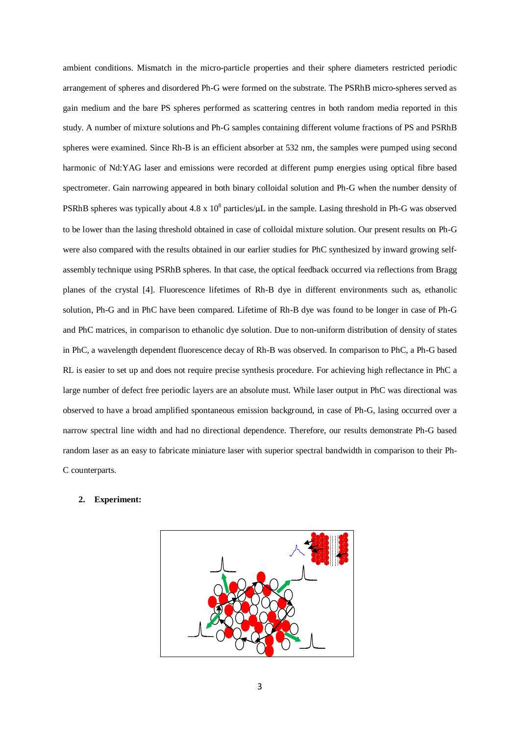ambient conditions. Mismatch in the micro-particle properties and their sphere diameters restricted periodic arrangement of spheres and disordered Ph-G were formed on the substrate. The PSRhB micro-spheres served as gain medium and the bare PS spheres performed as scattering centres in both random media reported in this study. A number of mixture solutions and Ph-G samples containing different volume fractions of PS and PSRhB spheres were examined. Since Rh-B is an efficient absorber at 532 nm, the samples were pumped using second harmonic of Nd:YAG laser and emissions were recorded at different pump energies using optical fibre based spectrometer. Gain narrowing appeared in both binary colloidal solution and Ph-G when the number density of PSRhB spheres was typically about 4.8 x  $10^8$  particles/uL in the sample. Lasing threshold in Ph-G was observed to be lower than the lasing threshold obtained in case of colloidal mixture solution. Our present results on Ph-G were also compared with the results obtained in our earlier studies for PhC synthesized by inward growing selfassembly technique using PSRhB spheres. In that case, the optical feedback occurred via reflections from Bragg planes of the crystal [4]. Fluorescence lifetimes of Rh-B dye in different environments such as, ethanolic solution, Ph-G and in PhC have been compared. Lifetime of Rh-B dye was found to be longer in case of Ph-G and PhC matrices, in comparison to ethanolic dye solution. Due to non-uniform distribution of density of states in PhC, a wavelength dependent fluorescence decay of Rh-B was observed. In comparison to PhC, a Ph-G based RL is easier to set up and does not require precise synthesis procedure. For achieving high reflectance in PhC a large number of defect free periodic layers are an absolute must. While laser output in PhC was directional was observed to have a broad amplified spontaneous emission background, in case of Ph-G, lasing occurred over a narrow spectral line width and had no directional dependence. Therefore, our results demonstrate Ph-G based random laser as an easy to fabricate miniature laser with superior spectral bandwidth in comparison to their Ph-C counterparts.

#### **2. Experiment:**

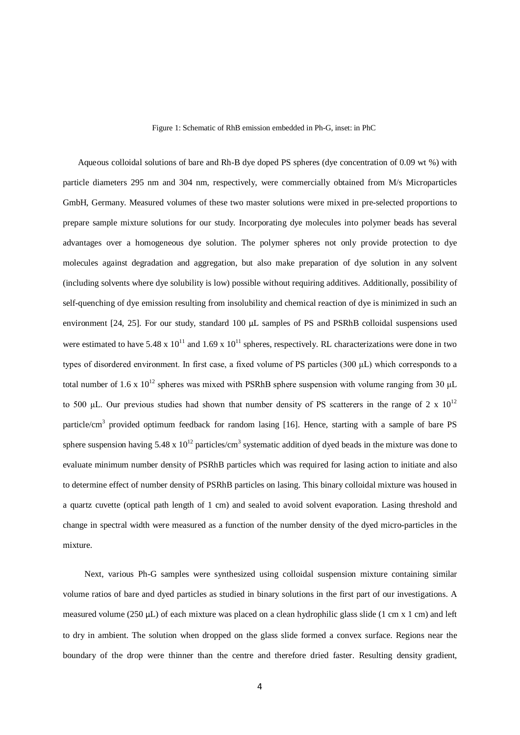Figure 1: Schematic of RhB emission embedded in Ph-G, inset: in PhC

 Aqueous colloidal solutions of bare and Rh-B dye doped PS spheres (dye concentration of 0.09 wt %) with particle diameters 295 nm and 304 nm, respectively, were commercially obtained from M/s Microparticles GmbH, Germany. Measured volumes of these two master solutions were mixed in pre-selected proportions to prepare sample mixture solutions for our study. Incorporating dye molecules into polymer beads has several advantages over a homogeneous dye solution. The polymer spheres not only provide protection to dye molecules against degradation and aggregation, but also make preparation of dye solution in any solvent (including solvents where dye solubility is low) possible without requiring additives. Additionally, possibility of self-quenching of dye emission resulting from insolubility and chemical reaction of dye is minimized in such an environment [24, 25]. For our study, standard 100 μL samples of PS and PSRhB colloidal suspensions used were estimated to have 5.48 x  $10^{11}$  and 1.69 x  $10^{11}$  spheres, respectively. RL characterizations were done in two types of disordered environment. In first case, a fixed volume of PS particles (300 μL) which corresponds to a total number of 1.6 x  $10^{12}$  spheres was mixed with PSRhB sphere suspension with volume ranging from 30  $\mu$ L to 500 μL. Our previous studies had shown that number density of PS scatterers in the range of 2 x  $10^{12}$ particle/cm<sup>3</sup> provided optimum feedback for random lasing [16]. Hence, starting with a sample of bare PS sphere suspension having  $5.48 \times 10^{12}$  particles/cm<sup>3</sup> systematic addition of dyed beads in the mixture was done to evaluate minimum number density of PSRhB particles which was required for lasing action to initiate and also to determine effect of number density of PSRhB particles on lasing. This binary colloidal mixture was housed in a quartz cuvette (optical path length of 1 cm) and sealed to avoid solvent evaporation. Lasing threshold and change in spectral width were measured as a function of the number density of the dyed micro-particles in the mixture.

 Next, various Ph-G samples were synthesized using colloidal suspension mixture containing similar volume ratios of bare and dyed particles as studied in binary solutions in the first part of our investigations. A measured volume (250  $\mu$ L) of each mixture was placed on a clean hydrophilic glass slide (1 cm x 1 cm) and left to dry in ambient. The solution when dropped on the glass slide formed a convex surface. Regions near the boundary of the drop were thinner than the centre and therefore dried faster. Resulting density gradient,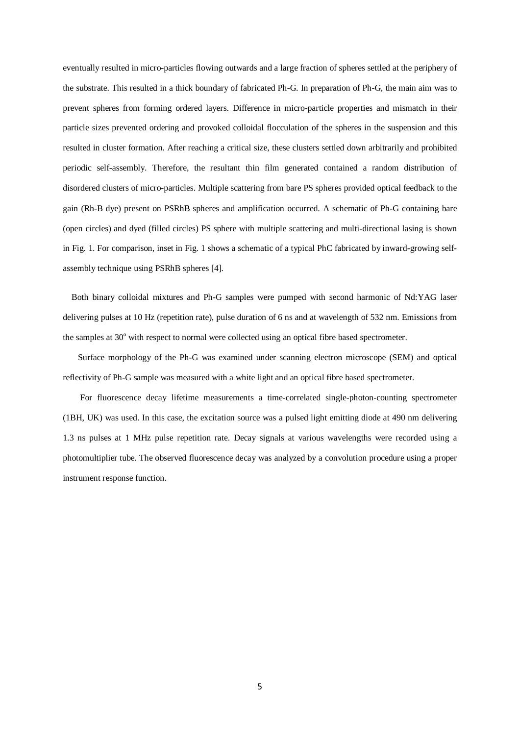eventually resulted in micro-particles flowing outwards and a large fraction of spheres settled at the periphery of the substrate. This resulted in a thick boundary of fabricated Ph-G. In preparation of Ph-G, the main aim was to prevent spheres from forming ordered layers. Difference in micro-particle properties and mismatch in their particle sizes prevented ordering and provoked colloidal flocculation of the spheres in the suspension and this resulted in cluster formation. After reaching a critical size, these clusters settled down arbitrarily and prohibited periodic self-assembly. Therefore, the resultant thin film generated contained a random distribution of disordered clusters of micro-particles. Multiple scattering from bare PS spheres provided optical feedback to the gain (Rh-B dye) present on PSRhB spheres and amplification occurred. A schematic of Ph-G containing bare (open circles) and dyed (filled circles) PS sphere with multiple scattering and multi-directional lasing is shown in Fig. 1. For comparison, inset in Fig. 1 shows a schematic of a typical PhC fabricated by inward-growing selfassembly technique using PSRhB spheres [4].

 Both binary colloidal mixtures and Ph-G samples were pumped with second harmonic of Nd:YAG laser delivering pulses at 10 Hz (repetition rate), pulse duration of 6 ns and at wavelength of 532 nm. Emissions from the samples at  $30^{\circ}$  with respect to normal were collected using an optical fibre based spectrometer.

 Surface morphology of the Ph-G was examined under scanning electron microscope (SEM) and optical reflectivity of Ph-G sample was measured with a white light and an optical fibre based spectrometer.

 For fluorescence decay lifetime measurements a time-correlated single-photon-counting spectrometer (1BH, UK) was used. In this case, the excitation source was a pulsed light emitting diode at 490 nm delivering 1.3 ns pulses at 1 MHz pulse repetition rate. Decay signals at various wavelengths were recorded using a photomultiplier tube. The observed fluorescence decay was analyzed by a convolution procedure using a proper instrument response function.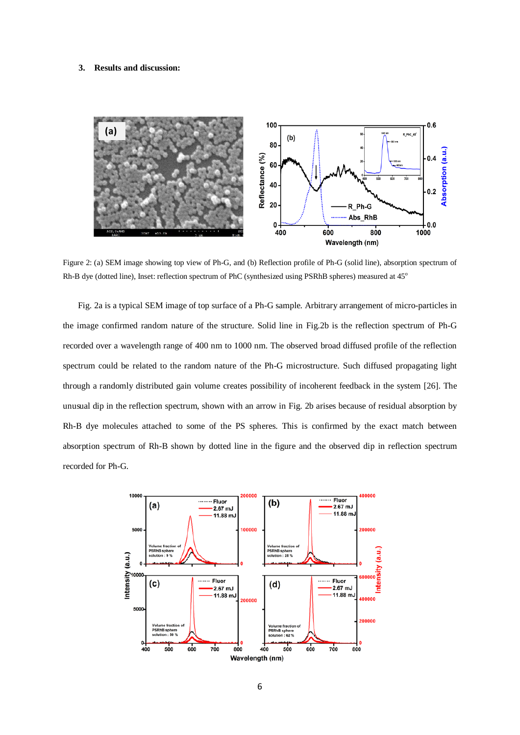### **3. Results and discussion:**



Figure 2: (a) SEM image showing top view of Ph-G, and (b) Reflection profile of Ph-G (solid line), absorption spectrum of Rh-B dye (dotted line), Inset: reflection spectrum of PhC (synthesized using PSRhB spheres) measured at 45<sup>o</sup>

 Fig. 2a is a typical SEM image of top surface of a Ph-G sample. Arbitrary arrangement of micro-particles in the image confirmed random nature of the structure. Solid line in Fig.2b is the reflection spectrum of Ph-G recorded over a wavelength range of 400 nm to 1000 nm. The observed broad diffused profile of the reflection spectrum could be related to the random nature of the Ph-G microstructure. Such diffused propagating light through a randomly distributed gain volume creates possibility of incoherent feedback in the system [26]. The unusual dip in the reflection spectrum, shown with an arrow in Fig. 2b arises because of residual absorption by Rh-B dye molecules attached to some of the PS spheres. This is confirmed by the exact match between absorption spectrum of Rh-B shown by dotted line in the figure and the observed dip in reflection spectrum recorded for Ph-G.

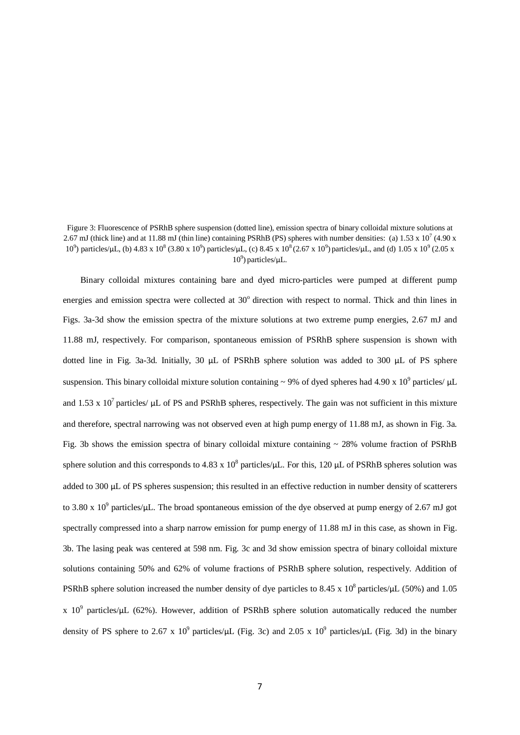Figure 3: Fluorescence of PSRhB sphere suspension (dotted line), emission spectra of binary colloidal mixture solutions at 2.67 mJ (thick line) and at 11.88 mJ (thin line) containing PSRhB (PS) spheres with number densities: (a)  $1.53 \times 10^7$  (4.90 x 10<sup>9</sup>) particles/μL, (b) 4.83 x 10<sup>8</sup> (3.80 x 10<sup>9</sup>) particles/μL, (c) 8.45 x 10<sup>8</sup> (2.67 x 10<sup>9</sup>) particles/μL, and (d) 1.05 x 10<sup>9</sup> (2.05 x  $10^9$ ) particles/ $\mu$ L.

 Binary colloidal mixtures containing bare and dyed micro-particles were pumped at different pump energies and emission spectra were collected at 30° direction with respect to normal. Thick and thin lines in Figs. 3a-3d show the emission spectra of the mixture solutions at two extreme pump energies, 2.67 mJ and 11.88 mJ, respectively. For comparison, spontaneous emission of PSRhB sphere suspension is shown with dotted line in Fig. 3a-3d. Initially, 30 μL of PSRhB sphere solution was added to 300 μL of PS sphere suspension. This binary colloidal mixture solution containing  $\sim$  9% of dyed spheres had 4.90 x 10<sup>9</sup> particles/  $\mu$ L and 1.53 x  $10^7$  particles/  $\mu$ L of PS and PSRhB spheres, respectively. The gain was not sufficient in this mixture and therefore, spectral narrowing was not observed even at high pump energy of 11.88 mJ, as shown in Fig. 3a. Fig. 3b shows the emission spectra of binary colloidal mixture containing  $\sim$  28% volume fraction of PSRhB sphere solution and this corresponds to 4.83 x  $10^8$  particles/μL. For this, 120 μL of PSRhB spheres solution was added to 300 μL of PS spheres suspension; this resulted in an effective reduction in number density of scatterers to 3.80 x  $10^9$  particles/ $\mu$ L. The broad spontaneous emission of the dye observed at pump energy of 2.67 mJ got spectrally compressed into a sharp narrow emission for pump energy of 11.88 mJ in this case, as shown in Fig. 3b. The lasing peak was centered at 598 nm. Fig. 3c and 3d show emission spectra of binary colloidal mixture solutions containing 50% and 62% of volume fractions of PSRhB sphere solution, respectively. Addition of PSRhB sphere solution increased the number density of dye particles to 8.45 x  $10^8$  particles/ $\mu$ L (50%) and 1.05 x  $10^9$  particles/ $\mu$ L (62%). However, addition of PSRhB sphere solution automatically reduced the number density of PS sphere to 2.67 x 10<sup>9</sup> particles/ $\mu$ L (Fig. 3c) and 2.05 x 10<sup>9</sup> particles/ $\mu$ L (Fig. 3d) in the binary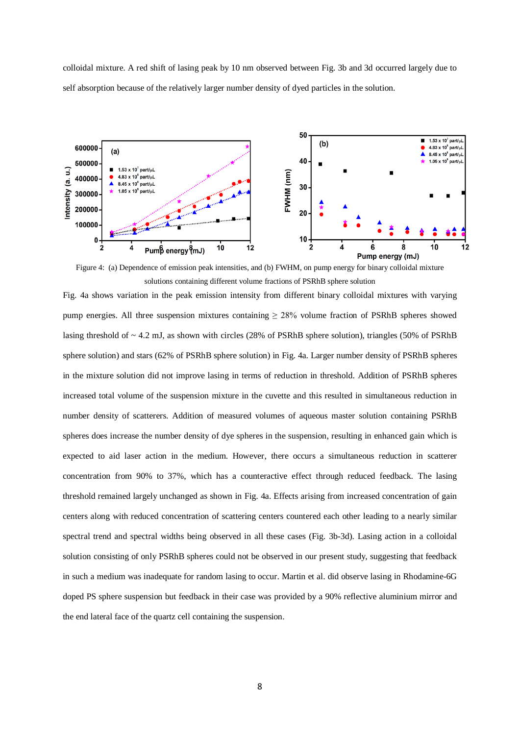colloidal mixture. A red shift of lasing peak by 10 nm observed between Fig. 3b and 3d occurred largely due to self absorption because of the relatively larger number density of dyed particles in the solution.



Figure 4: (a) Dependence of emission peak intensities, and (b) FWHM, on pump energy for binary colloidal mixture solutions containing different volume fractions of PSRhB sphere solution

Fig. 4a shows variation in the peak emission intensity from different binary colloidal mixtures with varying pump energies. All three suspension mixtures containing  $\geq$  28% volume fraction of PSRhB spheres showed lasing threshold of ~ 4.2 mJ, as shown with circles (28% of PSRhB sphere solution), triangles (50% of PSRhB sphere solution) and stars (62% of PSRhB sphere solution) in Fig. 4a. Larger number density of PSRhB spheres in the mixture solution did not improve lasing in terms of reduction in threshold. Addition of PSRhB spheres increased total volume of the suspension mixture in the cuvette and this resulted in simultaneous reduction in number density of scatterers. Addition of measured volumes of aqueous master solution containing PSRhB spheres does increase the number density of dye spheres in the suspension, resulting in enhanced gain which is expected to aid laser action in the medium. However, there occurs a simultaneous reduction in scatterer concentration from 90% to 37%, which has a counteractive effect through reduced feedback. The lasing threshold remained largely unchanged as shown in Fig. 4a. Effects arising from increased concentration of gain centers along with reduced concentration of scattering centers countered each other leading to a nearly similar spectral trend and spectral widths being observed in all these cases (Fig. 3b-3d). Lasing action in a colloidal solution consisting of only PSRhB spheres could not be observed in our present study, suggesting that feedback in such a medium was inadequate for random lasing to occur. Martin et al. did observe lasing in Rhodamine-6G doped PS sphere suspension but feedback in their case was provided by a 90% reflective aluminium mirror and the end lateral face of the quartz cell containing the suspension.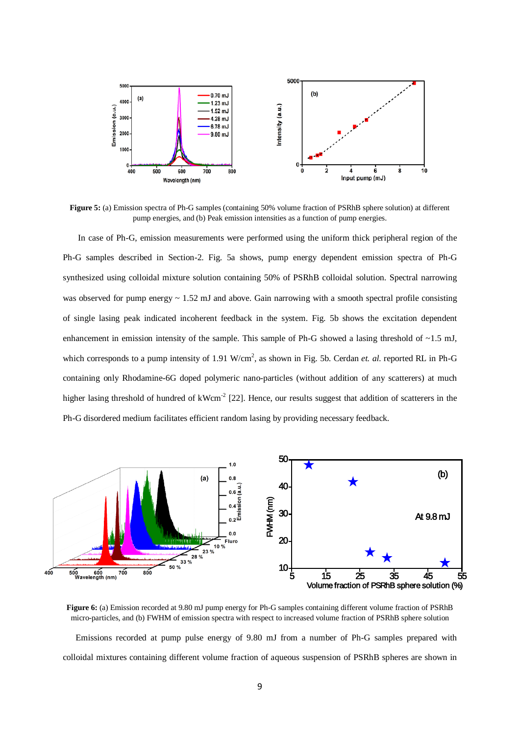

**Figure 5:** (a) Emission spectra of Ph-G samples (containing 50% volume fraction of PSRhB sphere solution) at different pump energies, and (b) Peak emission intensities as a function of pump energies.

 In case of Ph-G, emission measurements were performed using the uniform thick peripheral region of the Ph-G samples described in Section-2. Fig. 5a shows, pump energy dependent emission spectra of Ph-G synthesized using colloidal mixture solution containing 50% of PSRhB colloidal solution. Spectral narrowing was observed for pump energy  $\sim 1.52$  mJ and above. Gain narrowing with a smooth spectral profile consisting of single lasing peak indicated incoherent feedback in the system. Fig. 5b shows the excitation dependent enhancement in emission intensity of the sample. This sample of Ph-G showed a lasing threshold of  $\sim$ 1.5 mJ, which corresponds to a pump intensity of 1.91 W/cm<sup>2</sup>, as shown in Fig. 5b. Cerdan *et. al.* reported RL in Ph-G containing only Rhodamine-6G doped polymeric nano-particles (without addition of any scatterers) at much higher lasing threshold of hundred of kWcm<sup>-2</sup> [22]. Hence, our results suggest that addition of scatterers in the Ph-G disordered medium facilitates efficient random lasing by providing necessary feedback.



**Figure 6:** (a) Emission recorded at 9.80 mJ pump energy for Ph-G samples containing different volume fraction of PSRhB micro-particles, and (b) FWHM of emission spectra with respect to increased volume fraction of PSRhB sphere solution

 Emissions recorded at pump pulse energy of 9.80 mJ from a number of Ph-G samples prepared with colloidal mixtures containing different volume fraction of aqueous suspension of PSRhB spheres are shown in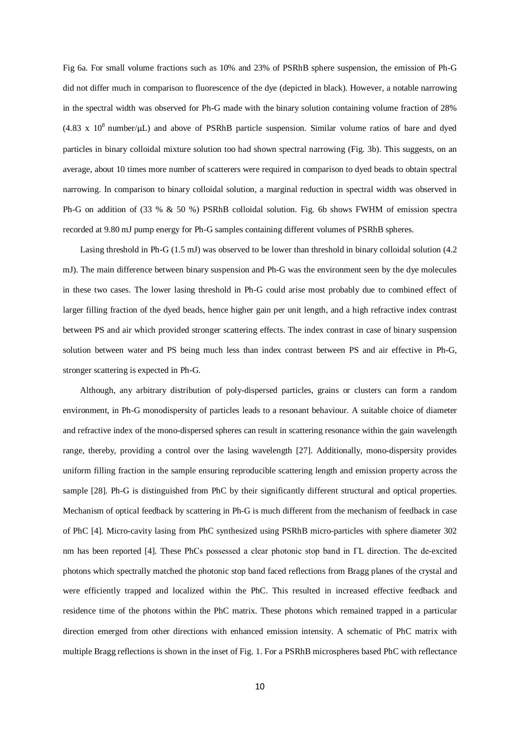Fig 6a. For small volume fractions such as 10% and 23% of PSRhB sphere suspension, the emission of Ph-G did not differ much in comparison to fluorescence of the dye (depicted in black). However, a notable narrowing in the spectral width was observed for Ph-G made with the binary solution containing volume fraction of 28%  $(4.83 \times 10^8 \text{ number/}\mu\text{L})$  and above of PSRhB particle suspension. Similar volume ratios of bare and dyed particles in binary colloidal mixture solution too had shown spectral narrowing (Fig. 3b). This suggests, on an average, about 10 times more number of scatterers were required in comparison to dyed beads to obtain spectral narrowing. In comparison to binary colloidal solution, a marginal reduction in spectral width was observed in Ph-G on addition of (33 % & 50 %) PSRhB colloidal solution. Fig. 6b shows FWHM of emission spectra recorded at 9.80 mJ pump energy for Ph-G samples containing different volumes of PSRhB spheres.

 Lasing threshold in Ph-G (1.5 mJ) was observed to be lower than threshold in binary colloidal solution (4.2 mJ). The main difference between binary suspension and Ph-G was the environment seen by the dye molecules in these two cases. The lower lasing threshold in Ph-G could arise most probably due to combined effect of larger filling fraction of the dyed beads, hence higher gain per unit length, and a high refractive index contrast between PS and air which provided stronger scattering effects. The index contrast in case of binary suspension solution between water and PS being much less than index contrast between PS and air effective in Ph-G, stronger scattering is expected in Ph-G.

 Although, any arbitrary distribution of poly-dispersed particles, grains or clusters can form a random environment, in Ph-G monodispersity of particles leads to a resonant behaviour. A suitable choice of diameter and refractive index of the mono-dispersed spheres can result in scattering resonance within the gain wavelength range, thereby, providing a control over the lasing wavelength [27]. Additionally, mono-dispersity provides uniform filling fraction in the sample ensuring reproducible scattering length and emission property across the sample [28]. Ph-G is distinguished from PhC by their significantly different structural and optical properties. Mechanism of optical feedback by scattering in Ph-G is much different from the mechanism of feedback in case of PhC [4]. Micro-cavity lasing from PhC synthesized using PSRhB micro-particles with sphere diameter 302 nm has been reported [4]. These PhCs possessed a clear photonic stop band in ΓL direction. The de-excited photons which spectrally matched the photonic stop band faced reflections from Bragg planes of the crystal and were efficiently trapped and localized within the PhC. This resulted in increased effective feedback and residence time of the photons within the PhC matrix. These photons which remained trapped in a particular direction emerged from other directions with enhanced emission intensity. A schematic of PhC matrix with multiple Bragg reflections is shown in the inset of Fig. 1. For a PSRhB microspheres based PhC with reflectance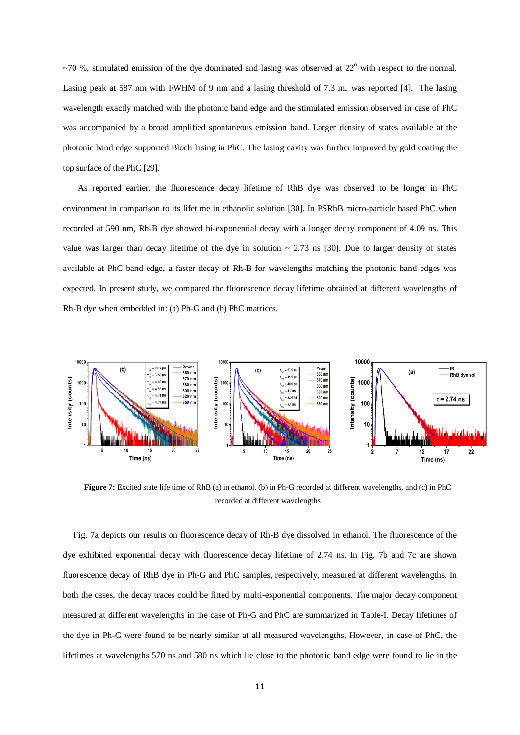$~1$ <sup>-70</sup> %, stimulated emission of the dye dominated and lasing was observed at 22<sup>o</sup> with respect to the normal. Lasing peak at 587 nm with FWHM of 9 nm and a lasing threshold of 7.3 mJ was reported [4]. The lasing wavelength exactly matched with the photonic band edge and the stimulated emission observed in case of PhC was accompanied by a broad amplified spontaneous emission band. Larger density of states available at the photonic band edge supported Bloch lasing in PhC. The lasing cavity was further improved by gold coating the top surface of the PhC [29].

 As reported earlier, the fluorescence decay lifetime of RhB dye was observed to be longer in PhC environment in comparison to its lifetime in ethanolic solution [30]. In PSRhB micro-particle based PhC when recorded at 590 nm, Rh-B dye showed bi-exponential decay with a longer decay component of 4.09 ns. This value was larger than decay lifetime of the dye in solution  $\sim 2.73$  ns [30]. Due to larger density of states available at PhC band edge, a faster decay of Rh-B for wavelengths matching the photonic band edges was expected. In present study, we compared the fluorescence decay lifetime obtained at different wavelengths of Rh-B dye when embedded in: (a) Ph-G and (b) PhC matrices.



**Figure 7:** Excited state life time of RhB (a) in ethanol, (b) in Ph-G recorded at different wavelengths, and (c) in PhC recorded at different wavelengths

 Fig. 7a depicts our results on fluorescence decay of Rh-B dye dissolved in ethanol. The fluorescence of the dye exhibited exponential decay with fluorescence decay lifetime of 2.74 ns. In Fig. 7b and 7c are shown fluorescence decay of RhB dye in Ph-G and PhC samples, respectively, measured at different wavelengths. In both the cases, the decay traces could be fitted by multi-exponential components. The major decay component measured at different wavelengths in the case of Ph-G and PhC are summarized in Table-I. Decay lifetimes of the dye in Ph-G were found to be nearly similar at all measured wavelengths. However, in case of PhC, the lifetimes at wavelengths 570 ns and 580 ns which lie close to the photonic band edge were found to lie in the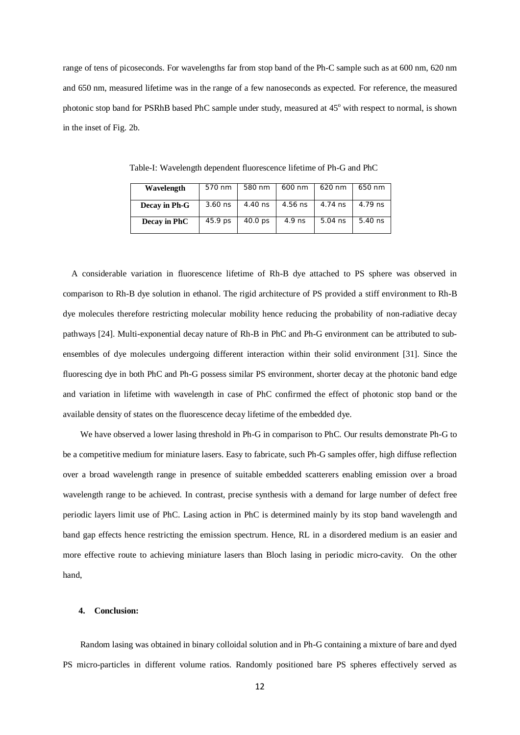range of tens of picoseconds. For wavelengths far from stop band of the Ph-C sample such as at 600 nm, 620 nm and 650 nm, measured lifetime was in the range of a few nanoseconds as expected. For reference, the measured photonic stop band for PSRhB based PhC sample under study, measured at 45<sup>o</sup> with respect to normal, is shown in the inset of Fig. 2b.

| Wavelength    | 570 nm  | 580 nm             | 600 nm  | 620 nm    | 650 nm    |
|---------------|---------|--------------------|---------|-----------|-----------|
| Decay in Ph-G | 3.60 ns | 4.40 ns            | 4.56 ns | 4.74 ns   | 4.79 ns   |
| Decay in PhC  | 45.9 ps | 40.0 <sub>ps</sub> | 4.9 ns  | $5.04$ ns | $5.40$ ns |

Table-I: Wavelength dependent fluorescence lifetime of Ph-G and PhC

 A considerable variation in fluorescence lifetime of Rh-B dye attached to PS sphere was observed in comparison to Rh-B dye solution in ethanol. The rigid architecture of PS provided a stiff environment to Rh-B dye molecules therefore restricting molecular mobility hence reducing the probability of non-radiative decay pathways [24]. Multi-exponential decay nature of Rh-B in PhC and Ph-G environment can be attributed to subensembles of dye molecules undergoing different interaction within their solid environment [31]. Since the fluorescing dye in both PhC and Ph-G possess similar PS environment, shorter decay at the photonic band edge and variation in lifetime with wavelength in case of PhC confirmed the effect of photonic stop band or the available density of states on the fluorescence decay lifetime of the embedded dye.

 We have observed a lower lasing threshold in Ph-G in comparison to PhC. Our results demonstrate Ph-G to be a competitive medium for miniature lasers. Easy to fabricate, such Ph-G samples offer, high diffuse reflection over a broad wavelength range in presence of suitable embedded scatterers enabling emission over a broad wavelength range to be achieved. In contrast, precise synthesis with a demand for large number of defect free periodic layers limit use of PhC. Lasing action in PhC is determined mainly by its stop band wavelength and band gap effects hence restricting the emission spectrum. Hence, RL in a disordered medium is an easier and more effective route to achieving miniature lasers than Bloch lasing in periodic micro-cavity. On the other hand,

### **4. Conclusion:**

 Random lasing was obtained in binary colloidal solution and in Ph-G containing a mixture of bare and dyed PS micro-particles in different volume ratios. Randomly positioned bare PS spheres effectively served as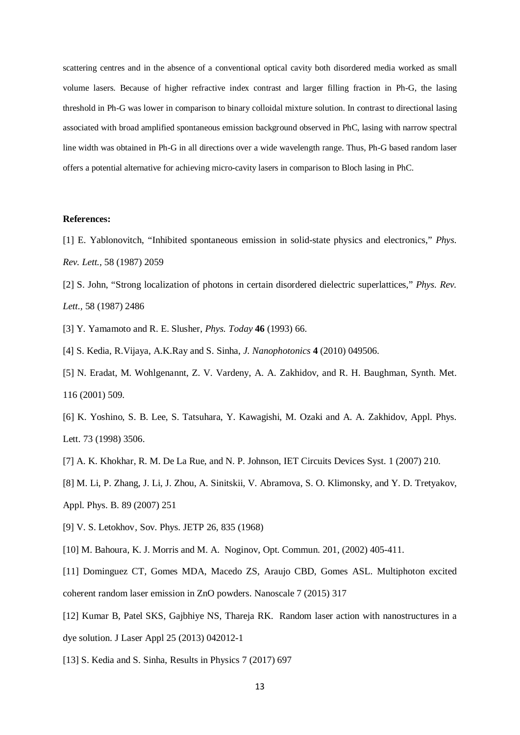scattering centres and in the absence of a conventional optical cavity both disordered media worked as small volume lasers. Because of higher refractive index contrast and larger filling fraction in Ph-G, the lasing threshold in Ph-G was lower in comparison to binary colloidal mixture solution. In contrast to directional lasing associated with broad amplified spontaneous emission background observed in PhC, lasing with narrow spectral line width was obtained in Ph-G in all directions over a wide wavelength range. Thus, Ph-G based random laser offers a potential alternative for achieving micro-cavity lasers in comparison to Bloch lasing in PhC.

## **References:**

- [1] E. Yablonovitch, "Inhibited spontaneous emission in solid-state physics and electronics," *Phys. Rev. Lett.,* 58 (1987) 2059
- [2] S. John, "Strong localization of photons in certain disordered dielectric superlattices," *Phys. Rev. Lett.,* 58 (1987) 2486
- [3] Y. Yamamoto and R. E. Slusher, *Phys. Today* **46** (1993) 66.
- [4] S. Kedia, R.Vijaya, A.K.Ray and S. Sinha, *J. Nanophotonics* **4** (2010) 049506.
- [5] N. Eradat, M. Wohlgenannt, Z. V. Vardeny, A. A. Zakhidov, and R. H. Baughman, Synth. Met. 116 (2001) 509.
- [6] K. Yoshino, S. B. Lee, S. Tatsuhara, Y. Kawagishi, M. Ozaki and A. A. Zakhidov, Appl. Phys. Lett. 73 (1998) 3506.
- [7] A. K. Khokhar, R. M. De La Rue, and N. P. Johnson, IET Circuits Devices Syst. 1 (2007) 210.
- [8] M. Li, P. Zhang, J. Li, J. Zhou, A. Sinitskii, V. Abramova, S. O. Klimonsky, and Y. D. Tretyakov, Appl. Phys. B. 89 (2007) 251
- [9] V. S. Letokhov, Sov. Phys. JETP 26, 835 (1968)
- [10] M. Bahoura, K. J. Morris and M. A. Noginov, Opt. Commun. 201, (2002) 405-411.
- [11] Dominguez CT, Gomes MDA, Macedo ZS, Araujo CBD, Gomes ASL. Multiphoton excited coherent random laser emission in ZnO powders. Nanoscale 7 (2015) 317
- [12] Kumar B, Patel SKS, Gajbhiye NS, Thareja RK. Random laser action with nanostructures in a dye solution. J Laser Appl 25 (2013) 042012-1
- [13] S. Kedia and S. Sinha, Results in Physics 7 (2017) 697